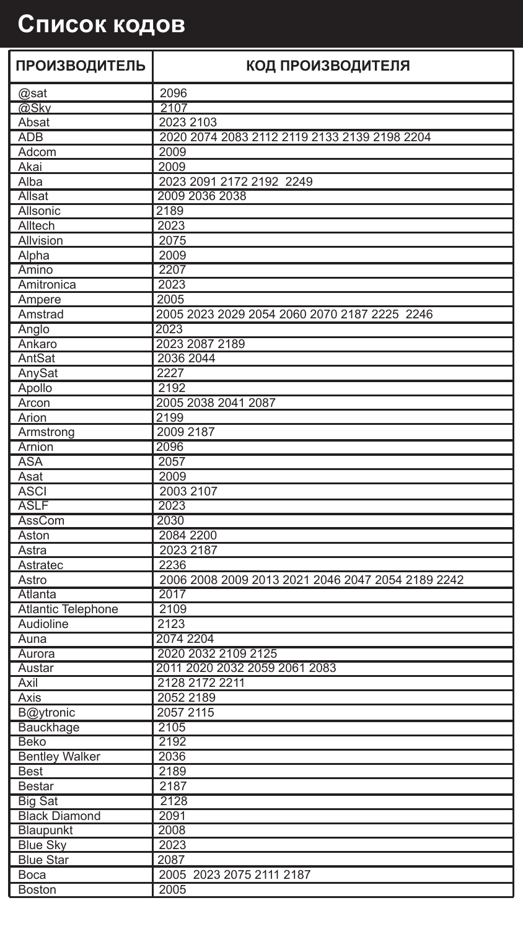## **Список кодов**

| <b>ПРОИЗВОДИТЕЛЬ</b>      | КОД ПРОИЗВОДИТЕЛЯ                                 |
|---------------------------|---------------------------------------------------|
| @sat                      | 2096                                              |
| @Sky                      | 2107                                              |
| Absat                     | 2023 2103                                         |
| <b>ADB</b>                | 2020 2074 2083 2112 2119 2133 2139 2198 2204      |
| Adcom                     | 2009                                              |
| Akai                      | 2009                                              |
| Alba                      | 2023 2091 2172 2192 2249                          |
| Allsat                    | 2009 2036 2038                                    |
| Allsonic                  | 2189                                              |
| Alltech                   | 2023                                              |
| Allvision                 | 2075                                              |
| Alpha                     | 2009                                              |
| Amino                     | 2207                                              |
| Amitronica                | 2023                                              |
| Ampere                    | 2005                                              |
| Amstrad                   | 2005 2023 2029 2054 2060 2070 2187 2225 2246      |
| Anglo                     | 2023                                              |
| Ankaro                    | 2023 2087 2189                                    |
| AntSat                    | 2036 2044                                         |
| AnySat                    | 2227                                              |
| Apollo                    | 2192                                              |
| Arcon                     | 2005 2038 2041 2087                               |
| Arion                     | 2199                                              |
| Armstrong                 | 2009 2187                                         |
| Arnion                    | 2096                                              |
| <b>ASA</b>                | 2057                                              |
| Asat                      | 2009                                              |
| <b>ASCI</b>               | 2003 2107                                         |
| <b>ASLF</b>               | 2023                                              |
| AssCom                    | 2030                                              |
| Aston<br>Astra            | 2084 2200<br>2023 2187                            |
| Astratec                  | 2236                                              |
| Astro                     | 2006 2008 2009 2013 2021 2046 2047 2054 2189 2242 |
| Atlanta                   | 2017                                              |
| <b>Atlantic Telephone</b> | 2109                                              |
| Audioline                 | 2123                                              |
| Auna                      | 2074 2204                                         |
| Aurora                    | 2020 2032 2109 2125                               |
| Austar                    | 2011 2020 2032 2059 2061 2083                     |
| Axil                      | 2128 2172 2211                                    |
| Axis                      | 2052 2189                                         |
| B@ytronic                 | 2057 2115                                         |
| Bauckhage                 | 2105                                              |
| Beko                      | 2192                                              |
| <b>Bentley Walker</b>     | 2036                                              |
| <b>Best</b>               | 2189                                              |
| <b>Bestar</b>             | 2187                                              |
| <b>Big Sat</b>            | 2128                                              |
| <b>Black Diamond</b>      | 2091                                              |
| Blaupunkt                 | 2008                                              |
| <b>Blue Sky</b>           | 2023                                              |
| <b>Blue Star</b>          | 2087                                              |
| Boca                      | 2005 2023 2075 2111 2187                          |
| <b>Boston</b>             | 2005                                              |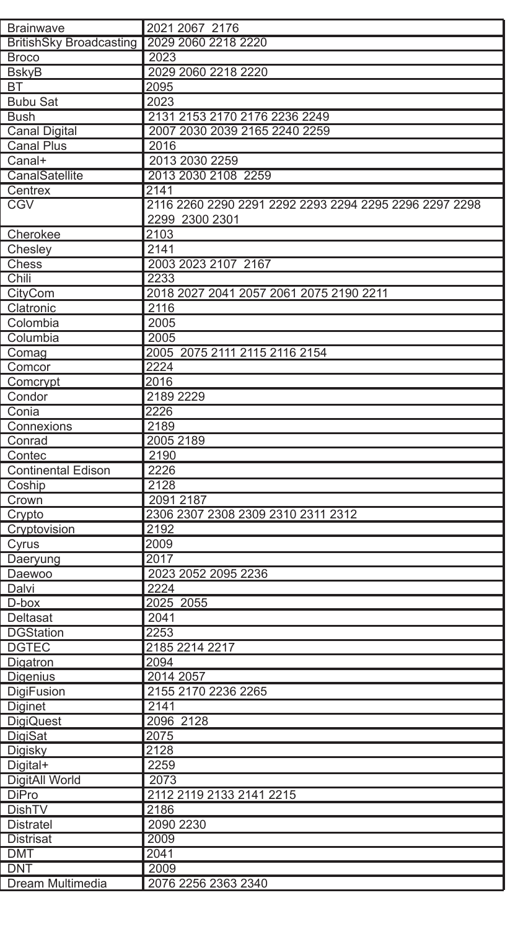| <b>Brainwave</b>               | 2021 2067 2176                                         |
|--------------------------------|--------------------------------------------------------|
| <b>BritishSky Broadcasting</b> | 2029 2060 2218 2220                                    |
| <b>Broco</b>                   | 2023                                                   |
| <b>BskvB</b>                   | 2029 2060 2218 2220                                    |
| <b>BT</b>                      | 2095                                                   |
|                                |                                                        |
| <b>Bubu Sat</b>                | 2023                                                   |
| Bush                           | 2131 2153 2170 2176 2236 2249                          |
| <b>Canal Digital</b>           | 2007 2030 2039 2165 2240 2259                          |
| Canal Plus                     | 2016                                                   |
| Canal+                         | 2013 2030 2259                                         |
| CanalSatellite                 | 2013 2030 2108 2259                                    |
| Centrex                        | 2141                                                   |
| CGV                            | 2116 2260 2290 2291 2292 2293 2294 2295 2296 2297 2298 |
|                                | 2299 2300 2301                                         |
| Cherokee                       | 2103                                                   |
| Chesley                        | 2141                                                   |
| Chess                          | 2003 2023 2107 2167                                    |
| Chili                          | 2233                                                   |
| CityCom                        | 2018 2027 2041 2057 2061 2075 2190 2211                |
| Clatronic                      | 2116                                                   |
| Colombia                       | 2005                                                   |
| Columbia                       | 2005                                                   |
| Comag                          | 2005 2075 2111 2115 2116 2154                          |
| Comcor                         | 2224                                                   |
| Comcrypt                       | 2016                                                   |
|                                | 2189 2229                                              |
| Condor                         |                                                        |
| Conia                          | 2226                                                   |
| Connexions                     | 2189                                                   |
| Conrad                         | 2005 2189                                              |
| Contec                         | 2190                                                   |
| <b>Continental Edison</b>      | 2226                                                   |
| Coship                         | 2128                                                   |
| Crown                          | 2091 2187                                              |
| Crypto                         | 2306 2307 2308 2309 2310 2311 2312                     |
| Cryptovision                   | 2192                                                   |
| Cyrus                          | 2009                                                   |
| Daeryung                       | 2017                                                   |
| Daewoo                         | 2023 2052 2095 2236                                    |
| Dalvi                          | 2224                                                   |
| D-box                          | 2025 2055                                              |
| Deltasat                       | 2041                                                   |
| <b>DGStation</b>               | 2253                                                   |
| <b>DGTEC</b>                   | 2185 2214 2217                                         |
| Digatron                       | 2094                                                   |
| Digenius                       | 2014 2057                                              |
| DigiFusion                     | 2155 2170 2236 2265                                    |
| Diginet                        | 2141                                                   |
| <b>DigiQuest</b>               | 2096 2128                                              |
| DigiSat                        | 2075                                                   |
| Digisky                        | 2128                                                   |
|                                |                                                        |
| Digital+                       | 2259                                                   |
| DigitAll World                 | 2073                                                   |
| DiPro                          | 2112 2119 2133 2141 2215                               |
| DishTV                         | 2186                                                   |
| <b>Distratel</b>               | 2090 2230                                              |
| <b>Distrisat</b>               | 2009                                                   |
| <b>DMT</b>                     | 2041                                                   |
| <b>DNT</b>                     | 2009                                                   |
| Dream Multimedia               | 2076 2256 2363 2340                                    |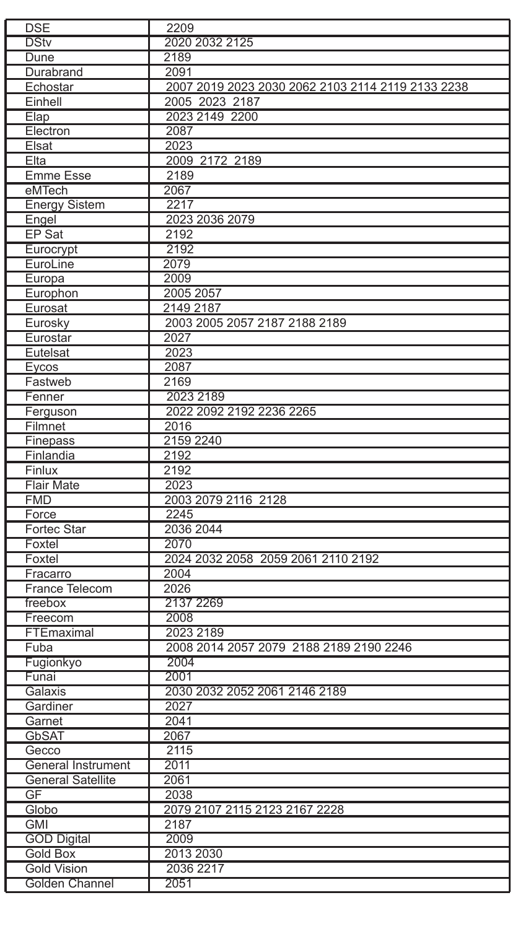| <b>DSE</b>               | 2209                                              |
|--------------------------|---------------------------------------------------|
| <b>DStv</b>              | 2020 2032 2125                                    |
| Dune                     | 2189                                              |
| Durabrand                | 2091                                              |
| Echostar                 | 2007 2019 2023 2030 2062 2103 2114 2119 2133 2238 |
| Einhell                  | 2005 2023 2187                                    |
| Elap                     | 2023 2149 2200                                    |
| Electron                 | 2087                                              |
| Elsat                    | 2023                                              |
| Elta                     | 2009 2172 2189                                    |
| <b>Emme Esse</b>         | 2189                                              |
| eMTech                   | 2067                                              |
|                          |                                                   |
| <b>Energy Sistem</b>     | 2217                                              |
| Engel                    | 2023 2036 2079                                    |
| EP Sat                   | 2192                                              |
| Eurocrypt                | 2192                                              |
| EuroLine                 | 2079                                              |
| Europa                   | 2009                                              |
| Europhon                 | 2005 2057                                         |
| Eurosat                  | 2149 2187                                         |
| Eurosky                  | 2003 2005 2057 2187 2188 2189                     |
| Eurostar                 | 2027                                              |
| Eutelsat                 | 2023                                              |
| Eycos                    | 2087                                              |
| Fastweb                  | 2169                                              |
| Fenner                   | 2023 2189                                         |
| Ferguson                 | 2022 2092 2192 2236 2265                          |
| Filmnet                  | 2016                                              |
| Finepass                 | 2159 2240                                         |
| Finlandia                | 2192                                              |
| Finlux                   | 2192                                              |
| <b>Flair Mate</b>        | 2023                                              |
| <b>FMD</b>               | 2003 2079 2116 2128                               |
|                          |                                                   |
| Force                    | 2245                                              |
| Fortec Star              | 2036 2044                                         |
| Foxtel                   | 2070                                              |
| Foxtel                   | 2024 2032 2058 2059 2061 2110 2192                |
| Fracarro                 | 2004                                              |
| France Telecom           | 2026                                              |
| freebox                  | 2137 2269                                         |
| Freecom                  | 2008                                              |
| FTEmaximal               | 2023 2189                                         |
| Fuba                     | 2008 2014 2057 2079 2188 2189 2190 2246           |
| Fugionkyo                | 2004                                              |
| Funai                    | 2001                                              |
| Galaxis                  | 2030 2032 2052 2061 2146 2189                     |
| Gardiner                 | 2027                                              |
| Garnet                   | 2041                                              |
| GbSAT                    | 2067                                              |
| Gecco                    | 2115                                              |
| General Instrument       | 2011                                              |
| <b>General Satellite</b> | 2061                                              |
| GF                       | 2038                                              |
| Globo                    | 2079 2107 2115 2123 2167 2228                     |
| <b>GMI</b>               | 2187                                              |
|                          |                                                   |
| <b>GOD Digital</b>       | 2009                                              |
| <b>Gold Box</b>          | 2013 2030                                         |
| <b>Gold Vision</b>       | 2036 2217                                         |
| Golden Channel           | 2051                                              |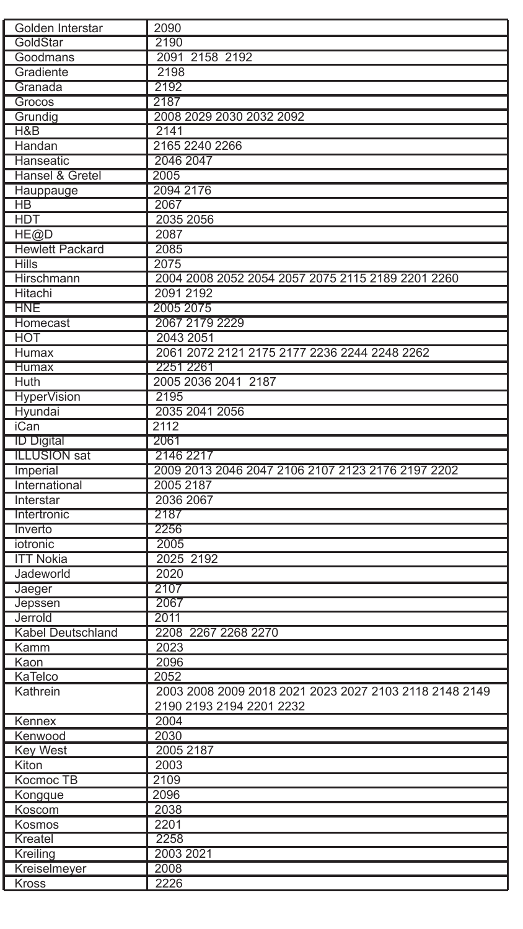| Golden Interstar       | 2090                                                   |
|------------------------|--------------------------------------------------------|
| GoldStar               | 2190                                                   |
| Goodmans               | 2091 2158 2192                                         |
| Gradiente              | 2198                                                   |
| Granada                | 2192                                                   |
| Grocos                 | 2187                                                   |
| Grundig                | 2008 2029 2030 2032 2092                               |
| H&B                    | 2141                                                   |
| Handan                 | 2165 2240 2266                                         |
| Hanseatic              | 2046 2047                                              |
| Hansel & Gretel        | 2005                                                   |
| Hauppauge              | 2094 2176                                              |
| HB                     | 2067                                                   |
| <b>HDT</b>             | 2035 2056                                              |
| HE@D                   | 2087                                                   |
| <b>Hewlett Packard</b> | 2085                                                   |
| <b>Hills</b>           | 2075                                                   |
| Hirschmann             | 2004 2008 2052 2054 2057 2075 2115 2189 2201 2260      |
| Hitachi                | 2091 2192                                              |
| <b>HNE</b>             | 2005 2075                                              |
| Homecast               | 2067 2179 2229                                         |
| <b>HOT</b>             | 2043 2051                                              |
| Humax                  | 2061 2072 2121 2175 2177 2236 2244 2248 2262           |
| <b>Humax</b>           | 2251 2261                                              |
| Huth                   | 2005 2036 2041 2187                                    |
| <b>HyperVision</b>     | 2195                                                   |
| Hyundai                | 2035 2041 2056                                         |
| <b>iCan</b>            | 2112                                                   |
| <b>ID Digital</b>      | 2061                                                   |
| <b>ILLUSION</b> sat    | 2146 2217                                              |
| Imperial               | 2009 2013 2046 2047 2106 2107 2123 2176 2197 2202      |
| International          | 2005 2187                                              |
| Interstar              | 2036 2067                                              |
| Intertronic            | 2187                                                   |
| Inverto                | 2256                                                   |
| iotronic               | 2005                                                   |
| <b>ITT Nokia</b>       | 2025 2192                                              |
| Jadeworld              | 2020                                                   |
| Jaeger                 | 2107                                                   |
| Jepssen                | 2067                                                   |
| Jerrold                | 2011                                                   |
| Kabel Deutschland      | 2208 2267 2268 2270                                    |
| Kamm                   | 2023                                                   |
| Kaon                   | 2096                                                   |
| KaTelco                | 2052                                                   |
| Kathrein               | 2003 2008 2009 2018 2021 2023 2027 2103 2118 2148 2149 |
|                        | 2190 2193 2194 2201 2232                               |
| Kennex                 | 2004                                                   |
| Kenwood                | 2030                                                   |
| <b>Key West</b>        | 2005 2187                                              |
| Kiton                  | 2003                                                   |
| Kocmoc TB              | 2109                                                   |
| Kongque                | 2096                                                   |
| Koscom                 | 2038                                                   |
| Kosmos                 | 2201                                                   |
| Kreatel                | 2258                                                   |
| Kreiling               | 2003 2021                                              |
| Kreiselmeyer           | 2008                                                   |
| Kross                  | 2226                                                   |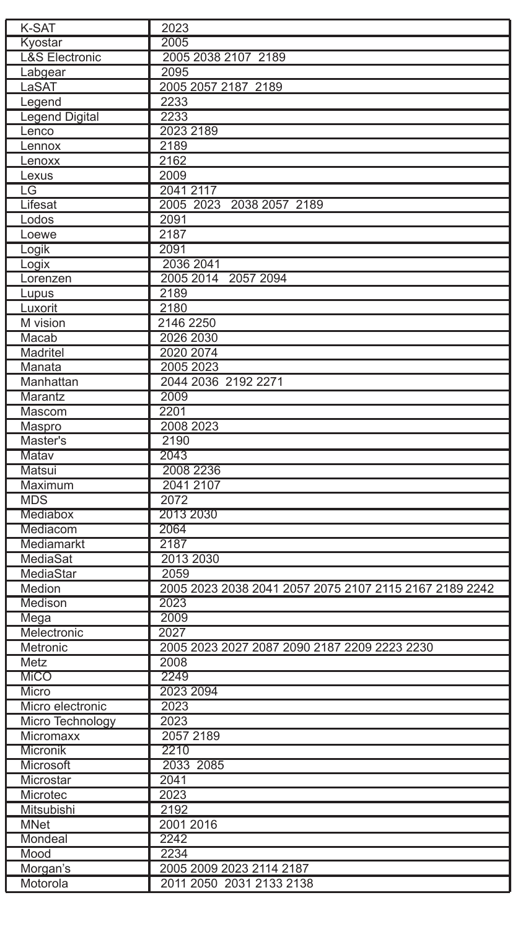| K-SAT                     | 2023                                                   |
|---------------------------|--------------------------------------------------------|
| Kyostar                   | 2005                                                   |
| <b>L&amp;S Electronic</b> | 2005 2038 2107 2189                                    |
| Labgear                   | 2095                                                   |
| LaSAT                     | 2005 2057 2187 2189                                    |
| Legend                    | 2233                                                   |
| <b>Legend Digital</b>     | 2233                                                   |
| Lenco                     | 2023 2189                                              |
| Lennox                    | 2189                                                   |
| Lenoxx                    | 2162                                                   |
| Lexus                     | 2009                                                   |
| LG                        | 2041 2117                                              |
| Lifesat                   | 2005 2023 2038 2057 2189                               |
| Lodos                     | 2091                                                   |
| Loewe                     | 2187                                                   |
| Logik                     | 2091                                                   |
| Logix                     | 2036 2041                                              |
| Lorenzen                  | 2005 2014 2057 2094                                    |
| Lupus                     | 2189                                                   |
| Luxorit                   | 2180                                                   |
| M vision                  | 2146 2250                                              |
|                           | 2026 2030                                              |
| Macab                     |                                                        |
| Madritel                  | 2020 2074                                              |
| Manata                    | 2005 2023                                              |
| Manhattan                 | 2044 2036 2192 2271                                    |
| Marantz                   | 2009                                                   |
| Mascom                    | 2201                                                   |
| Maspro                    | 2008 2023                                              |
| Master's                  | 2190                                                   |
| Matav                     | 2043                                                   |
| Matsui                    | 2008 2236                                              |
| Maximum                   | 2041 2107                                              |
| <b>MDS</b>                | 2072                                                   |
| Mediabox                  | 2013 2030                                              |
| Mediacom                  | 2064                                                   |
| Mediamarkt                | 2187                                                   |
| MediaSat                  | 2013 2030                                              |
| MediaStar                 | 2059                                                   |
| Medion                    | 2005 2023 2038 2041 2057 2075 2107 2115 2167 2189 2242 |
| Medison                   | 2023                                                   |
| Mega                      | 2009                                                   |
| Melectronic               | 2027                                                   |
| Metronic                  | 2005 2023 2027 2087 2090 2187 2209 2223 2230           |
| Metz                      | 2008                                                   |
| MiCO                      | 2249                                                   |
| Micro                     | 2023 2094                                              |
| Micro electronic          | 2023                                                   |
| Micro Technology          | 2023                                                   |
| Micromaxx                 | 2057 2189                                              |
| Micronik                  |                                                        |
|                           | 2210                                                   |
| Microsoft                 | 2033 2085                                              |
| Microstar                 | 2041                                                   |
| Microtec                  | 2023                                                   |
| Mitsubishi                | 2192                                                   |
| <b>MNet</b>               | 2001 2016                                              |
| Mondeal                   | 2242                                                   |
| Mood                      | 2234                                                   |
| Morgan's                  | 2005 2009 2023 2114 2187                               |
| Motorola                  | 2011 2050 2031 2133 2138                               |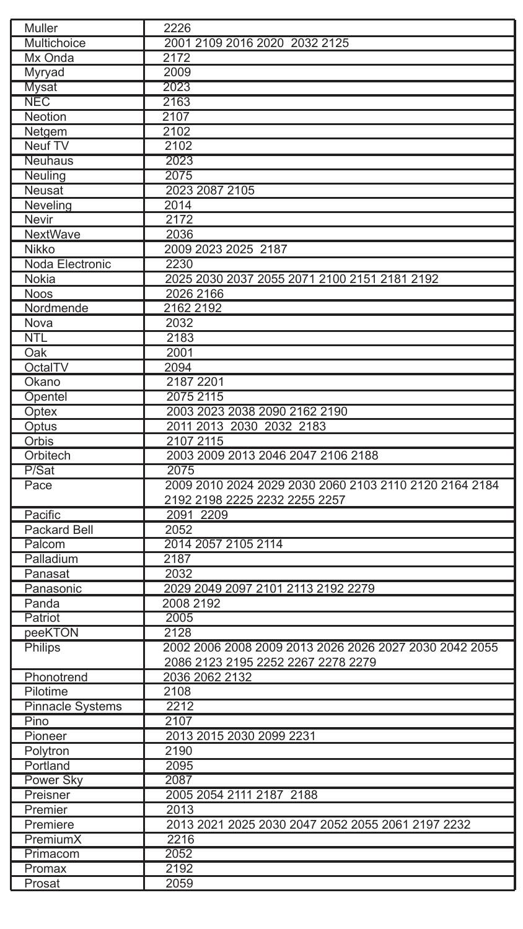| Muller                  | 2226                                                   |
|-------------------------|--------------------------------------------------------|
| Multichoice             | 2001 2109 2016 2020 2032 2125                          |
| Mx Onda                 | 2172                                                   |
| Myryad                  | 2009                                                   |
| Mysat                   | 2023                                                   |
| <b>NEC</b>              | 2163                                                   |
| Neotion                 | 2107                                                   |
| Netgem                  | 2102                                                   |
| Neuf TV                 | 2102                                                   |
| Neuhaus                 | 2023                                                   |
| Neuling                 | 2075                                                   |
| Neusat                  | 2023 2087 2105                                         |
| Neveling                | 2014                                                   |
| Nevir                   | 2172                                                   |
| NextWave                | 2036                                                   |
| Nikko                   | 2009 2023 2025 2187                                    |
| Noda Electronic         | 2230                                                   |
| Nokia                   | 2025 2030 2037 2055 2071 2100 2151 2181 2192           |
| <b>Noos</b>             | 2026 2166                                              |
| Nordmende               | 2162 2192                                              |
| Nova                    | 2032                                                   |
| <b>NTL</b>              | 2183                                                   |
| Oak                     | 2001                                                   |
| OctalTV                 | 2094                                                   |
| Okano                   | 2187 2201                                              |
|                         | 2075 2115                                              |
| Opentel                 |                                                        |
| Optex                   | 2003 2023 2038 2090 2162 2190                          |
| Optus                   | 2011 2013 2030 2032 2183                               |
| Orbis                   | 2107 2115                                              |
| Orbitech                | 2003 2009 2013 2046 2047 2106 2188                     |
| P/Sat                   | 2075                                                   |
| Pace                    | 2009 2010 2024 2029 2030 2060 2103 2110 2120 2164 2184 |
|                         | 2192 2198 2225 2232 2255 2257                          |
| Pacific                 | 2091 2209                                              |
| Packard Bell            | 2052                                                   |
| Palcom                  | 2014 2057 2105 2114                                    |
| Palladium               | 2187                                                   |
| Panasat                 | 2032                                                   |
| Panasonic               | 2029 2049 2097 2101 2113 2192 2279                     |
| Panda                   | 2008 2192                                              |
| Patriot                 | 2005                                                   |
| peeKTON                 | 2128                                                   |
| <b>Philips</b>          | 2002 2006 2008 2009 2013 2026 2026 2027 2030 2042 2055 |
|                         | 2086 2123 2195 2252 2267 2278 2279                     |
| Phonotrend              | 2036 2062 2132                                         |
| Pilotime                | 2108                                                   |
| <b>Pinnacle Systems</b> | 2212                                                   |
| Pino                    | 2107                                                   |
| Pioneer                 | 2013 2015 2030 2099 2231                               |
| Polytron                | 2190                                                   |
| Portland                | 2095                                                   |
| Power Sky               | 2087                                                   |
| Preisner                | 2005 2054 2111 2187 2188                               |
| Premier                 | 2013                                                   |
| Premiere                | 2013 2021 2025 2030 2047 2052 2055 2061 2197 2232      |
| PremiumX                | 2216                                                   |
|                         | 2052                                                   |
| Primacom                |                                                        |
| Promax                  | 2192                                                   |
| Prosat                  | 2059                                                   |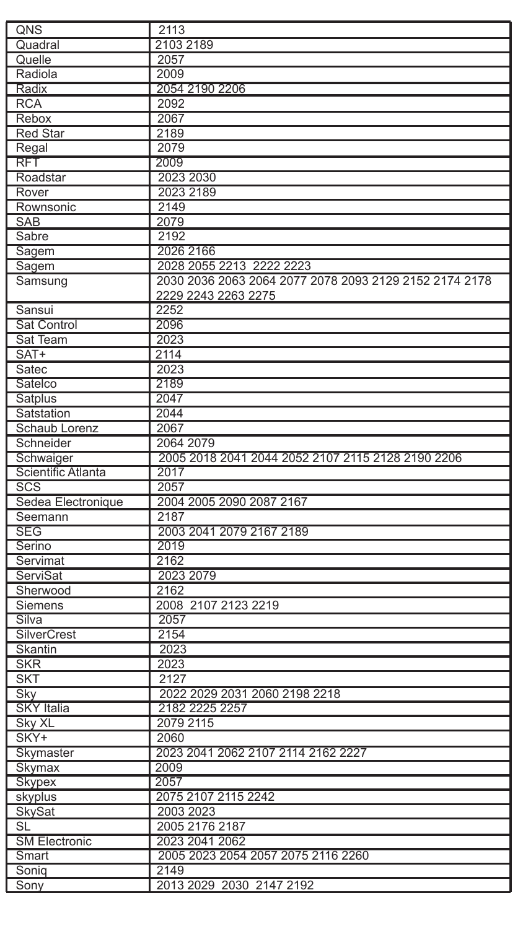| QNS                  | 2113                                                   |
|----------------------|--------------------------------------------------------|
| Quadral              | 2103 2189                                              |
| Quelle               | 2057                                                   |
| Radiola              | 2009                                                   |
| Radix                | 2054 2190 2206                                         |
| <b>RCA</b>           | 2092                                                   |
| Rebox                | 2067                                                   |
| <b>Red Star</b>      | 2189                                                   |
| Regal                | 2079                                                   |
| <b>RFT</b>           | 2009                                                   |
| Roadstar             | 2023 2030                                              |
| Rover                | 2023 2189                                              |
| Rownsonic            | 2149                                                   |
| <b>SAB</b>           | 2079                                                   |
| Sabre                | 2192                                                   |
| Sagem                | 2026 2166                                              |
| Sagem                | 2028 2055 2213 2222 2223                               |
| Samsung              | 2030 2036 2063 2064 2077 2078 2093 2129 2152 2174 2178 |
|                      | 2229 2243 2263 2275                                    |
| Sansui               | 2252                                                   |
| Sat Control          | 2096                                                   |
| Sat Team             | 2023                                                   |
| SAT+                 | 2114                                                   |
| Satec                | 2023                                                   |
|                      | 2189                                                   |
| Satelco              |                                                        |
| Satplus              | 2047<br>2044                                           |
| Satstation           |                                                        |
| Schaub Lorenz        | 2067                                                   |
| Schneider            | 2064 2079                                              |
| Schwaiger            | 2005 2018 2041 2044 2052 2107 2115 2128 2190 2206      |
| Scientific Atlanta   | 2017                                                   |
| SCS                  | 2057                                                   |
| Sedea Electronique   | 2004 2005 2090 2087 2167                               |
| Seemann              | 2187                                                   |
| <b>SEG</b>           | 2003 2041 2079 2167 2189                               |
| Serino               | 2019                                                   |
| Servimat             | 2162                                                   |
| ServiSat             | 2023 2079                                              |
| Sherwood             | 2162                                                   |
| Siemens              | 2008 2107 2123 2219                                    |
| Silva                | 2057                                                   |
| <b>SilverCrest</b>   | 2154                                                   |
| Skantin              | 2023                                                   |
| <b>SKR</b>           | 2023                                                   |
| <b>SKT</b>           | 2127                                                   |
| Sky                  | 2022 2029 2031 2060 2198 2218                          |
| <b>SKY</b> Italia    | 2182 2225 2257                                         |
| Sky XL               | 2079 2115                                              |
| SKY+                 | 2060                                                   |
| Skymaster            | 2023 2041 2062 2107 2114 2162 2227                     |
| Skymax               | 2009                                                   |
| <b>Skypex</b>        | 2057                                                   |
| skyplus              | 2075 2107 2115 2242                                    |
| <b>SkySat</b>        | 2003 2023                                              |
| SL                   | 2005 2176 2187                                         |
| <b>SM Electronic</b> | 2023 2041 2062                                         |
| Smart                | 2005 2023 2054 2057 2075 2116 2260                     |
| Sonig                | 2149                                                   |
| Sony                 | 2013 2029 2030 2147 2192                               |
|                      |                                                        |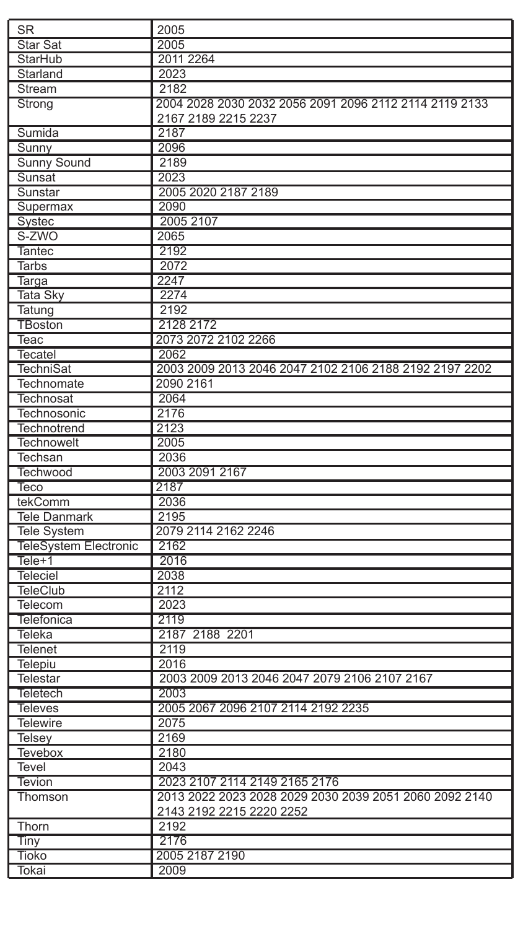| <b>SR</b>                    | 2005                                                   |
|------------------------------|--------------------------------------------------------|
| <b>Star Sat</b>              | 2005                                                   |
| StarHub                      | 2011 2264                                              |
| Starland                     | 2023                                                   |
| Stream                       | 2182                                                   |
| Strong                       | 2004 2028 2030 2032 2056 2091 2096 2112 2114 2119 2133 |
|                              | 2167 2189 2215 2237                                    |
| Sumida                       | 2187                                                   |
| Sunny                        | 2096                                                   |
| Sunny Sound                  | 2189                                                   |
| Sunsat                       | 2023                                                   |
| Sunstar                      | 2005 2020 2187 2189                                    |
| Supermax                     | 2090                                                   |
| Systec                       | 2005 2107                                              |
| S-ZWO                        | 2065                                                   |
| <b>Tantec</b>                | 2192                                                   |
| <b>Tarbs</b>                 | 2072                                                   |
| Targa                        | 2247                                                   |
| <b>Tata Sky</b>              | 2274                                                   |
| Tatung                       | 2192                                                   |
| <b>TBoston</b>               | 2128 2172                                              |
| Teac                         | 2073 2072 2102 2266                                    |
| <b>Tecatel</b>               | 2062                                                   |
| <b>TechniSat</b>             | 2003 2009 2013 2046 2047 2102 2106 2188 2192 2197 2202 |
| Technomate                   | 2090 2161                                              |
| <b>Technosat</b>             | 2064                                                   |
| Technosonic                  | 2176                                                   |
| Technotrend                  | 2123                                                   |
| <b>Technowelt</b>            | 2005                                                   |
| Techsan                      | 2036                                                   |
| Techwood                     | 2003 2091 2167                                         |
| Teco                         | 2187                                                   |
| tekComm                      | 2036                                                   |
| <b>Tele Danmark</b>          | 2195                                                   |
| <b>Tele System</b>           | 2079 2114 2162 2246                                    |
| <b>TeleSystem Electronic</b> | 2162                                                   |
| Tele+1                       | 2016                                                   |
| Teleciel                     | 2038                                                   |
| <b>TeleClub</b>              | 2112                                                   |
| Telecom                      | 2023                                                   |
| <b>Telefonica</b>            | 2119                                                   |
| Teleka                       | 2187 2188 2201                                         |
| <b>Telenet</b>               | 2119                                                   |
| Telepiu                      | 2016                                                   |
| Telestar                     | 2003 2009 2013 2046 2047 2079 2106 2107 2167           |
| <b>Teletech</b>              | 2003                                                   |
| <b>Televes</b>               | 2005 2067 2096 2107 2114 2192 2235                     |
| <b>Telewire</b>              | 2075                                                   |
| Telsey                       | 2169                                                   |
| Tevebox                      | 2180                                                   |
| Tevel                        | 2043                                                   |
| <b>Tevion</b>                | 2023 2107 2114 2149 2165 2176                          |
| Thomson                      | 2013 2022 2023 2028 2029 2030 2039 2051 2060 2092 2140 |
|                              | 2143 2192 2215 2220 2252                               |
| Thorn                        | 2192                                                   |
| Tiny                         | 2176                                                   |
| <b>Tioko</b>                 | 2005 2187 2190                                         |
| Tokai                        | 2009                                                   |
|                              |                                                        |